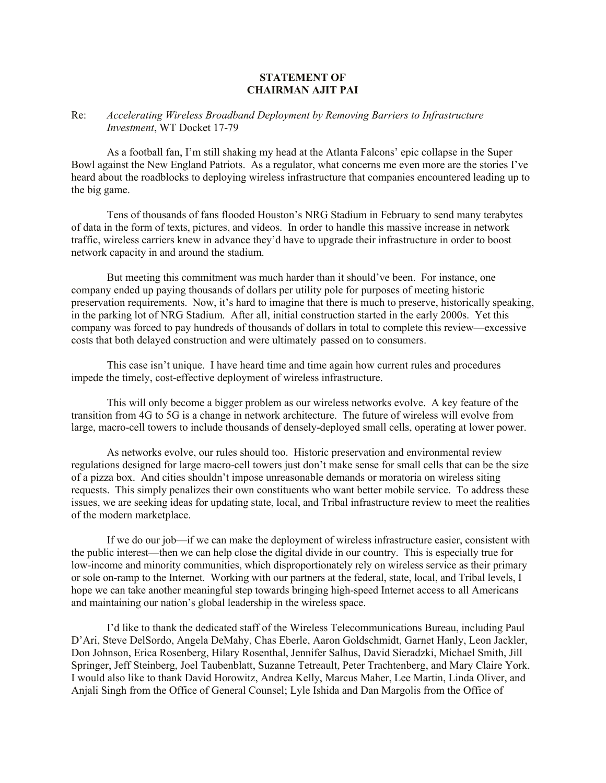## **STATEMENT OF CHAIRMAN AJIT PAI**

## Re: *Accelerating Wireless Broadband Deployment by Removing Barriers to Infrastructure Investment*, WT Docket 17-79

As a football fan, I'm still shaking my head at the Atlanta Falcons' epic collapse in the Super Bowl against the New England Patriots. As a regulator, what concerns me even more are the stories I've heard about the roadblocks to deploying wireless infrastructure that companies encountered leading up to the big game.

Tens of thousands of fans flooded Houston's NRG Stadium in February to send many terabytes of data in the form of texts, pictures, and videos. In order to handle this massive increase in network traffic, wireless carriers knew in advance they'd have to upgrade their infrastructure in order to boost network capacity in and around the stadium.

But meeting this commitment was much harder than it should've been. For instance, one company ended up paying thousands of dollars per utility pole for purposes of meeting historic preservation requirements. Now, it's hard to imagine that there is much to preserve, historically speaking, in the parking lot of NRG Stadium. After all, initial construction started in the early 2000s. Yet this company was forced to pay hundreds of thousands of dollars in total to complete this review—excessive costs that both delayed construction and were ultimately passed on to consumers.

This case isn't unique. I have heard time and time again how current rules and procedures impede the timely, cost-effective deployment of wireless infrastructure.

This will only become a bigger problem as our wireless networks evolve. A key feature of the transition from 4G to 5G is a change in network architecture. The future of wireless will evolve from large, macro-cell towers to include thousands of densely-deployed small cells, operating at lower power.

As networks evolve, our rules should too. Historic preservation and environmental review regulations designed for large macro-cell towers just don't make sense for small cells that can be the size of a pizza box. And cities shouldn't impose unreasonable demands or moratoria on wireless siting requests. This simply penalizes their own constituents who want better mobile service. To address these issues, we are seeking ideas for updating state, local, and Tribal infrastructure review to meet the realities of the modern marketplace.

If we do our job—if we can make the deployment of wireless infrastructure easier, consistent with the public interest—then we can help close the digital divide in our country. This is especially true for low-income and minority communities, which disproportionately rely on wireless service as their primary or sole on-ramp to the Internet. Working with our partners at the federal, state, local, and Tribal levels, I hope we can take another meaningful step towards bringing high-speed Internet access to all Americans and maintaining our nation's global leadership in the wireless space.

I'd like to thank the dedicated staff of the Wireless Telecommunications Bureau, including Paul D'Ari, Steve DelSordo, Angela DeMahy, Chas Eberle, Aaron Goldschmidt, Garnet Hanly, Leon Jackler, Don Johnson, Erica Rosenberg, Hilary Rosenthal, Jennifer Salhus, David Sieradzki, Michael Smith, Jill Springer, Jeff Steinberg, Joel Taubenblatt, Suzanne Tetreault, Peter Trachtenberg, and Mary Claire York. I would also like to thank David Horowitz, Andrea Kelly, Marcus Maher, Lee Martin, Linda Oliver, and Anjali Singh from the Office of General Counsel; Lyle Ishida and Dan Margolis from the Office of